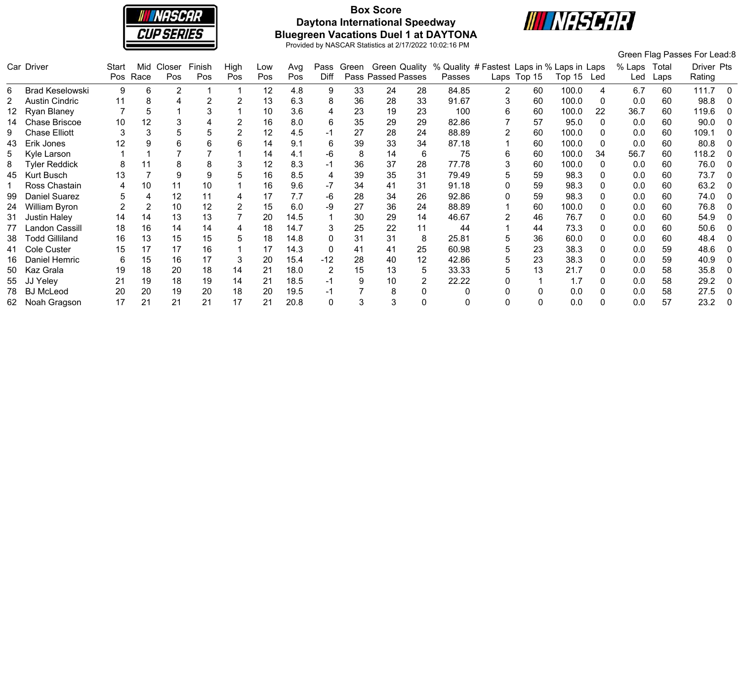

# **Box Score Daytona International Speedway Bluegreen Vacations Duel 1 at DAYTONA**



|     |                        |       |      |                |        |                |     |      |       |       |                    |                |                                                          |   |             |            |          |        |       | Green Flag Passes For Lead:8 |          |
|-----|------------------------|-------|------|----------------|--------|----------------|-----|------|-------|-------|--------------------|----------------|----------------------------------------------------------|---|-------------|------------|----------|--------|-------|------------------------------|----------|
|     | Car Driver             | Start |      | Mid Closer     | Finish | High           | Low | Avg  | Pass  | Green |                    |                | Green Quality % Quality # Fastest Laps in % Laps in Laps |   |             |            |          | % Laps | Total | Driver Pts                   |          |
|     |                        | Pos   | Race | Pos            | Pos    | Pos            | Pos | Pos  | Diff  |       | Pass Passed Passes |                | Passes                                                   |   | Laps Top 15 | Top 15 Led |          | Led    | Laps  | Rating                       |          |
| 6   | <b>Brad Keselowski</b> | 9     | 6    | $\overline{2}$ |        |                | 12  | 4.8  | 9     | 33    | 24                 | 28             | 84.85                                                    | 2 | 60          | 100.0      | 4        | 6.7    | 60    | 111.7                        | - 0      |
|     | <b>Austin Cindric</b>  | 11    | 8    |                | 2      | 2              | 13  | 6.3  | 8     | 36    | 28                 | 33             | 91.67                                                    | 3 | 60          | 100.0      |          | 0.0    | 60    | 98.8                         |          |
|     | Ryan Blaney            |       | 5    |                | 3      |                | 10  | 3.6  | 4     | 23    | 19                 | 23             | 100                                                      | 6 | 60          | 100.0      | 22       | 36.7   | 60    | 119.6                        | -0       |
|     | Chase Briscoe          | 10    | 12   |                |        | 2              | 16  | 8.0  | 6     | 35    | 29                 | 29             | 82.86                                                    |   | 57          | 95.0       | $\Omega$ | 0.0    | 60    | 90.0                         |          |
|     | <b>Chase Elliott</b>   | 3     |      |                | 5      | $\overline{2}$ | 12  | 4.5  | -1    | 27    | 28                 | 24             | 88.89                                                    |   | 60          | 100.0      |          | 0.0    | 60    | 109.1                        | $\Omega$ |
| 43  | Erik Jones             | 12    |      |                | 6      | 6              | 14  | 9.1  | 6     | 39    | 33                 | 34             | 87.18                                                    |   | 60          | 100.0      |          | 0.0    | 60    | 80.8                         |          |
|     | Kyle Larson            |       |      |                |        |                | 14  | 4.1  | -6    | 8     | 14                 | 6              | 75                                                       | 6 | 60          | 100.0      | 34       | 56.7   | 60    | 118.2                        | - 0      |
| 8   | <b>Tyler Reddick</b>   | 8     |      |                | 8      | 3              | 12  | 8.3  | -1    | 36    | 37                 | 28             | 77.78                                                    | 3 | 60          | 100.0      |          | 0.0    | 60    | 76.0                         |          |
| 45  | <b>Kurt Busch</b>      | 13    |      | 9              | 9      | 5              | 16  | 8.5  | 4     | 39    | 35                 | 31             | 79.49                                                    | 5 | 59          | 98.3       |          | 0.0    | 60    | 73.7                         | - 0      |
|     | Ross Chastain          | 4     | 10   | 11             | 10     |                | 16  | 9.6  | -7    | 34    | -41                | 31             | 91.18                                                    |   | 59          | 98.3       |          | 0.0    | 60    | 63.2                         |          |
| 99  | <b>Daniel Suarez</b>   | 5     | 4    | 12             | 11     | 4              | 17  | 7.7  | -6    | 28    | 34                 | 26             | 92.86                                                    |   | 59          | 98.3       |          | 0.0    | 60    | 74.0                         |          |
| 24  | William Byron          |       |      | 10             | 12     |                | 15  | 6.0  | -9    | 27    | 36                 | 24             | 88.89                                                    |   | 60          | 100.0      |          | 0.0    | 60    | 76.8                         |          |
| 31  | <b>Justin Haley</b>    | 14    | 14   | 13             | 13     |                | 20  | 14.5 |       | 30    | 29                 | 14             | 46.67                                                    |   | 46          | 76.7       |          | 0.0    | 60    | 54.9                         |          |
|     | Landon Cassill         | 18    | 16   | 14             | 14     | 4              | 18  | 14.7 |       | 25    | 22                 | 11             | 44                                                       |   | 44          | 73.3       |          | 0.0    | 60    | 50.6                         |          |
| 38. | <b>Todd Gilliland</b>  | 16    | 13   | 15             | 15     | 5              | 18  | 14.8 | 0     | 31    | 31                 | 8              | 25.81                                                    | 5 | 36          | 60.0       |          | 0.0    | 60    | 48.4                         |          |
| 41  | Cole Custer            | 15    | 17   | 17             | 16     |                | 17  | 14.3 | 0     | 41    | 41                 | 25             | 60.98                                                    | 5 | 23          | 38.3       |          | 0.0    | 59    | 48.6                         |          |
| 16. | Daniel Hemric          | 6     | 15   | 16             | 17     | 3              | 20  | 15.4 | $-12$ | 28    | 40                 | 12             | 42.86                                                    | 5 | 23          | 38.3       |          | 0.0    | 59    | 40.9                         |          |
| 50  | Kaz Grala              | 19    | 18   | 20             | 18     | 14             | 21  | 18.0 | 2     | 15    | 13                 | 5              | 33.33                                                    | 5 | 13          | 21.7       |          | 0.0    | 58    | 35.8                         | - 0      |
| 55  | JJ Yeley               | 21    | 19   | 18             | 19     | 14             | 21  | 18.5 | -1    |       | 10                 | $\overline{2}$ | 22.22                                                    |   |             | 1.7        |          | 0.0    | 58    | 29.2                         |          |
| 78. | <b>BJ</b> McLeod       | 20    | 20   | 19             | 20     | 18             | 20  | 19.5 | -1    |       |                    |                |                                                          |   |             | 0.0        |          | 0.0    | 58    | 27.5                         | -0       |
| 62. | Noah Gragson           | 17    | 21   | 21             | 21     | 17             |     | 20.8 | 0     |       |                    |                |                                                          |   |             | 0.0        |          | 0.0    | 57    | 23.2                         |          |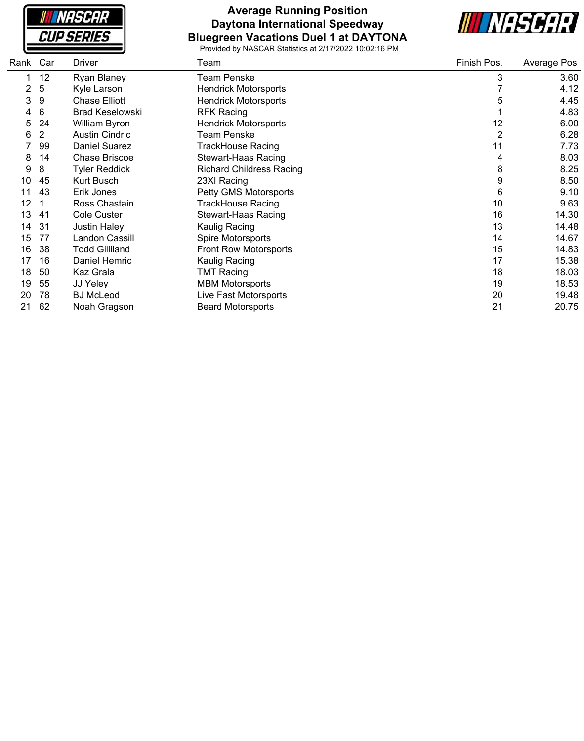**NASCAR CUP SERIES** 

#### **Average Running Position Daytona International Speedway Bluegreen Vacations Duel 1 at DAYTONA**



| Rank | Car | Driver                 | Team                            | Finish Pos. | Average Pos |
|------|-----|------------------------|---------------------------------|-------------|-------------|
|      | 12  | Ryan Blaney            | <b>Team Penske</b>              | 3           | 3.60        |
|      | 5   | Kyle Larson            | <b>Hendrick Motorsports</b>     |             | 4.12        |
| 3    | 9   | <b>Chase Elliott</b>   | <b>Hendrick Motorsports</b>     | 5           | 4.45        |
| 4    | 6   | <b>Brad Keselowski</b> | <b>RFK Racing</b>               |             | 4.83        |
| 5    | 24  | William Byron          | <b>Hendrick Motorsports</b>     | 12          | 6.00        |
| 6    | 2   | <b>Austin Cindric</b>  | Team Penske                     | 2           | 6.28        |
|      | 99  | Daniel Suarez          | <b>TrackHouse Racing</b>        | 11          | 7.73        |
| 8    | 14  | <b>Chase Briscoe</b>   | Stewart-Haas Racing             | 4           | 8.03        |
| 9    | 8   | <b>Tyler Reddick</b>   | <b>Richard Childress Racing</b> | 8           | 8.25        |
| 10   | 45  | Kurt Busch             | 23XI Racing                     | 9           | 8.50        |
| 11   | 43  | Erik Jones             | Petty GMS Motorsports           | 6           | 9.10        |
| 12   |     | Ross Chastain          | TrackHouse Racing               | 10          | 9.63        |
| 13   | 41  | Cole Custer            | <b>Stewart-Haas Racing</b>      | 16          | 14.30       |
| 14   | 31  | <b>Justin Haley</b>    | Kaulig Racing                   | 13          | 14.48       |
| 15   | 77  | Landon Cassill         | Spire Motorsports               | 14          | 14.67       |
| 16   | 38  | Todd Gilliland         | <b>Front Row Motorsports</b>    | 15          | 14.83       |
| 17   | 16  | Daniel Hemric          | Kaulig Racing                   | 17          | 15.38       |
| 18   | 50  | Kaz Grala              | <b>TMT Racing</b>               | 18          | 18.03       |
| 19   | 55  | JJ Yeley               | <b>MBM Motorsports</b>          | 19          | 18.53       |
| 20   | 78  | <b>BJ</b> McLeod       | Live Fast Motorsports           | 20          | 19.48       |
| 21   | 62  | Noah Gragson           | <b>Beard Motorsports</b>        | 21          | 20.75       |
|      |     |                        |                                 |             |             |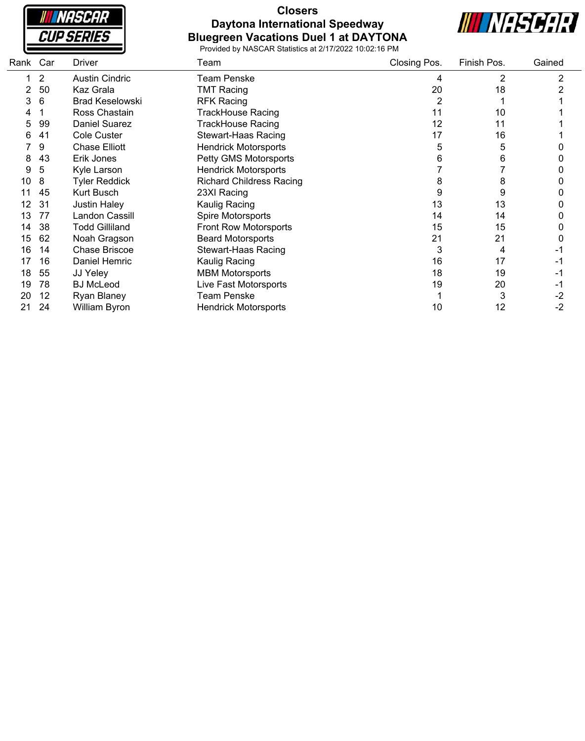

## **Closers Daytona International Speedway Bluegreen Vacations Duel 1 at DAYTONA**



| Rank | Car | Driver                 | Team                            | Closing Pos. | Finish Pos. | Gained |
|------|-----|------------------------|---------------------------------|--------------|-------------|--------|
|      | 2   | <b>Austin Cindric</b>  | <b>Team Penske</b>              | 4            | 2           | 2      |
|      | 50  | Kaz Grala              | <b>TMT Racing</b>               | 20           | 18          |        |
| 3    | 6   | <b>Brad Keselowski</b> | <b>RFK Racing</b>               |              |             |        |
|      |     | Ross Chastain          | TrackHouse Racing               | 11           | 10          |        |
| 5    | 99  | Daniel Suarez          | TrackHouse Racing               | 12           | 11          |        |
| 6    | 41  | Cole Custer            | <b>Stewart-Haas Racing</b>      | 17           | 16          |        |
|      | 9   | <b>Chase Elliott</b>   | <b>Hendrick Motorsports</b>     | 5            | 5           |        |
| 8    | 43  | Erik Jones             | Petty GMS Motorsports           | 6            | 6           |        |
| 9    | 5   | Kyle Larson            | <b>Hendrick Motorsports</b>     |              |             |        |
| 10   | 8   | <b>Tyler Reddick</b>   | <b>Richard Childress Racing</b> | 8            | 8           |        |
|      | 45  | Kurt Busch             | 23XI Racing                     | 9            | 9           |        |
|      | 31  | <b>Justin Haley</b>    | Kaulig Racing                   | 13           | 13          |        |
| 13   | 77  | Landon Cassill         | Spire Motorsports               | 14           | 14          |        |
| 14   | 38  | <b>Todd Gilliland</b>  | <b>Front Row Motorsports</b>    | 15           | 15          |        |
| 15   | 62  | Noah Gragson           | <b>Beard Motorsports</b>        | 21           | 21          |        |
| 16   | 14  | <b>Chase Briscoe</b>   | <b>Stewart-Haas Racing</b>      | 3            | 4           |        |
| 17   | 16  | Daniel Hemric          | Kaulig Racing                   | 16           | 17          |        |
| 18   | 55  | JJ Yeley               | <b>MBM Motorsports</b>          | 18           | 19          |        |
| 19   | 78  | <b>BJ</b> McLeod       | Live Fast Motorsports           | 19           | 20          | -1     |
| 20   | 12  | Ryan Blaney            | <b>Team Penske</b>              |              |             | -2     |
| 21   | 24  | William Byron          | <b>Hendrick Motorsports</b>     | 10           | 12          | $-2$   |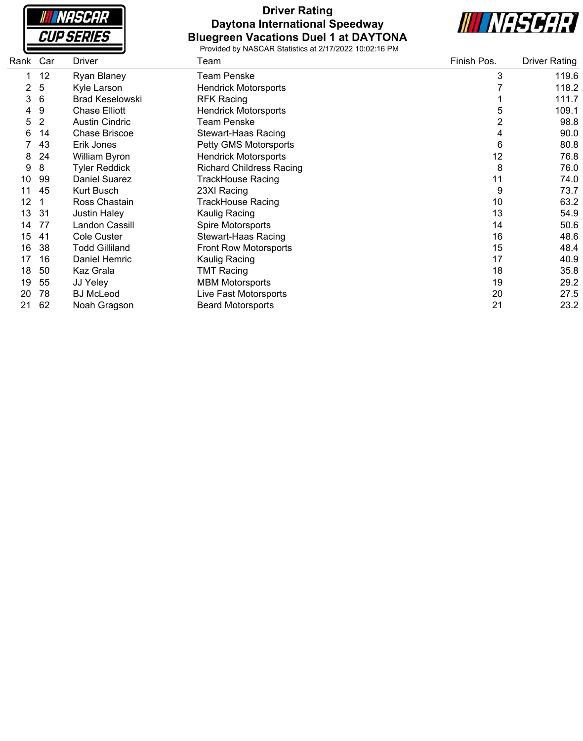| <i><b>CUP SERIES</b></i> | NASCAR |  |
|--------------------------|--------|--|
|                          |        |  |

## **Driver Rating Daytona International Speedway Bluegreen Vacations Duel 1 at DAYTONA**



| Rank | Car | Driver                 | Team                            | Finish Pos. | <b>Driver Rating</b> |
|------|-----|------------------------|---------------------------------|-------------|----------------------|
|      | 12  | Ryan Blaney            | <b>Team Penske</b>              | 3           | 119.6                |
| 2    | 5   | Kyle Larson            | <b>Hendrick Motorsports</b>     |             | 118.2                |
| 3    | 6   | <b>Brad Keselowski</b> | <b>RFK Racing</b>               |             | 111.7                |
| 4    | 9   | <b>Chase Elliott</b>   | <b>Hendrick Motorsports</b>     | 5           | 109.1                |
| 5    | 2   | <b>Austin Cindric</b>  | <b>Team Penske</b>              | 2           | 98.8                 |
| 6    | 14  | <b>Chase Briscoe</b>   | Stewart-Haas Racing             | 4           | 90.0                 |
|      | 43  | Erik Jones             | Petty GMS Motorsports           | 6           | 80.8                 |
| 8    | 24  | William Byron          | <b>Hendrick Motorsports</b>     | 12          | 76.8                 |
| 9    | 8   | <b>Tyler Reddick</b>   | <b>Richard Childress Racing</b> | 8           | 76.0                 |
| 10   | 99  | <b>Daniel Suarez</b>   | <b>TrackHouse Racing</b>        | 11          | 74.0                 |
|      | 45  | <b>Kurt Busch</b>      | 23XI Racing                     | 9           | 73.7                 |
| 12   |     | Ross Chastain          | <b>TrackHouse Racing</b>        | 10          | 63.2                 |
| 13   | 31  | <b>Justin Haley</b>    | Kaulig Racing                   | 13          | 54.9                 |
| 14   | 77  | Landon Cassill         | Spire Motorsports               | 14          | 50.6                 |
| 15   | 41  | Cole Custer            | <b>Stewart-Haas Racing</b>      | 16          | 48.6                 |
| 16   | 38  | <b>Todd Gilliland</b>  | Front Row Motorsports           | 15          | 48.4                 |
| 17   | 16  | Daniel Hemric          | Kaulig Racing                   | 17          | 40.9                 |
| 18   | 50  | Kaz Grala              | <b>TMT Racing</b>               | 18          | 35.8                 |
| 19   | 55  | JJ Yeley               | <b>MBM Motorsports</b>          | 19          | 29.2                 |
| 20   | 78  | <b>BJ</b> McLeod       | Live Fast Motorsports           | 20          | 27.5                 |
| 21   | 62  | Noah Gragson           | <b>Beard Motorsports</b>        | 21          | 23.2                 |
|      |     |                        |                                 |             |                      |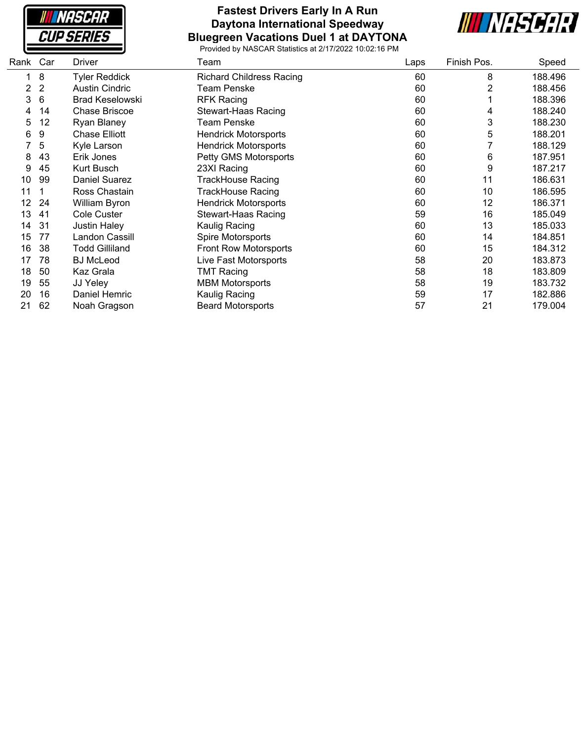

#### **Fastest Drivers Early In A Run Daytona International Speedway Bluegreen Vacations Duel 1 at DAYTONA**



| Rank | Car            | Driver                 | Team                            | Laps | Finish Pos. | Speed   |
|------|----------------|------------------------|---------------------------------|------|-------------|---------|
|      | 8              | <b>Tyler Reddick</b>   | <b>Richard Childress Racing</b> | 60   | 8           | 188.496 |
| 2    | $\overline{2}$ | <b>Austin Cindric</b>  | <b>Team Penske</b>              | 60   | 2           | 188.456 |
| 3    | 6              | <b>Brad Keselowski</b> | <b>RFK Racing</b>               | 60   |             | 188.396 |
| 4    | 14             | <b>Chase Briscoe</b>   | <b>Stewart-Haas Racing</b>      | 60   | 4           | 188.240 |
| 5    | 12             | <b>Ryan Blaney</b>     | <b>Team Penske</b>              | 60   | 3           | 188.230 |
| 6    | 9              | <b>Chase Elliott</b>   | <b>Hendrick Motorsports</b>     | 60   | 5           | 188.201 |
|      | 5              | Kyle Larson            | <b>Hendrick Motorsports</b>     | 60   |             | 188.129 |
| 8    | 43             | Erik Jones             | Petty GMS Motorsports           | 60   | 6           | 187.951 |
| 9    | 45             | Kurt Busch             | 23XI Racing                     | 60   | 9           | 187.217 |
| 10   | 99             | <b>Daniel Suarez</b>   | TrackHouse Racing               | 60   | 11          | 186.631 |
| 11   |                | Ross Chastain          | TrackHouse Racing               | 60   | 10          | 186.595 |
| 12   | 24             | William Byron          | <b>Hendrick Motorsports</b>     | 60   | 12          | 186.371 |
| 13   | 41             | <b>Cole Custer</b>     | <b>Stewart-Haas Racing</b>      | 59   | 16          | 185.049 |
| 14   | 31             | <b>Justin Haley</b>    | Kaulig Racing                   | 60   | 13          | 185.033 |
| 15   | 77             | Landon Cassill         | Spire Motorsports               | 60   | 14          | 184.851 |
| 16   | 38             | Todd Gilliland         | <b>Front Row Motorsports</b>    | 60   | 15          | 184.312 |
| 17   | 78             | <b>BJ</b> McLeod       | <b>Live Fast Motorsports</b>    | 58   | 20          | 183.873 |
| 18   | 50             | Kaz Grala              | <b>TMT Racing</b>               | 58   | 18          | 183.809 |
| 19   | 55             | JJ Yeley               | <b>MBM Motorsports</b>          | 58   | 19          | 183.732 |
| 20   | 16             | Daniel Hemric          | Kaulig Racing                   | 59   | 17          | 182.886 |
| 21   | 62             | Noah Gragson           | <b>Beard Motorsports</b>        | 57   | 21          | 179.004 |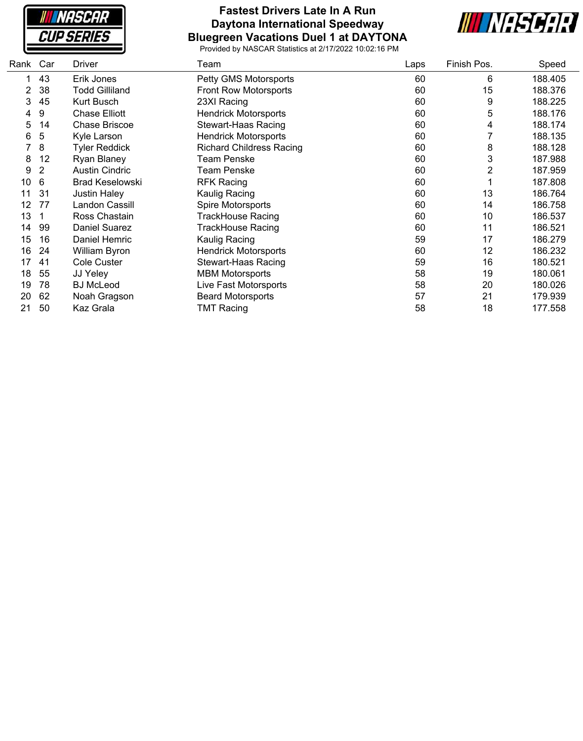**NASCAR CUP SERIES** 

#### **Fastest Drivers Late In A Run Daytona International Speedway Bluegreen Vacations Duel 1 at DAYTONA**



| Rank | Car | Driver                 | Team                            | Laps | Finish Pos. | Speed   |
|------|-----|------------------------|---------------------------------|------|-------------|---------|
|      | 43  | Erik Jones             | Petty GMS Motorsports           | 60   | 6           | 188.405 |
| 2    | 38  | Todd Gilliland         | <b>Front Row Motorsports</b>    | 60   | 15          | 188.376 |
| 3    | 45  | Kurt Busch             | 23XI Racing                     | 60   | 9           | 188.225 |
| 4    | 9   | <b>Chase Elliott</b>   | <b>Hendrick Motorsports</b>     | 60   | 5           | 188.176 |
| 5    | 14  | <b>Chase Briscoe</b>   | Stewart-Haas Racing             | 60   | 4           | 188.174 |
| 6    | 5   | Kyle Larson            | <b>Hendrick Motorsports</b>     | 60   |             | 188.135 |
|      | 8   | <b>Tyler Reddick</b>   | <b>Richard Childress Racing</b> | 60   | 8           | 188.128 |
| 8    | 12  | Ryan Blaney            | <b>Team Penske</b>              | 60   | 3           | 187.988 |
| 9    | 2   | <b>Austin Cindric</b>  | <b>Team Penske</b>              | 60   | 2           | 187.959 |
| 10   | 6   | <b>Brad Keselowski</b> | <b>RFK Racing</b>               | 60   |             | 187.808 |
| 11   | 31  | <b>Justin Haley</b>    | Kaulig Racing                   | 60   | 13          | 186.764 |
| 12   | 77  | Landon Cassill         | Spire Motorsports               | 60   | 14          | 186.758 |
| 13   |     | Ross Chastain          | TrackHouse Racing               | 60   | 10          | 186.537 |
| 14   | 99  | <b>Daniel Suarez</b>   | <b>TrackHouse Racing</b>        | 60   | 11          | 186.521 |
| 15   | 16  | Daniel Hemric          | Kaulig Racing                   | 59   | 17          | 186.279 |
| 16   | 24  | William Byron          | <b>Hendrick Motorsports</b>     | 60   | 12          | 186.232 |
| 17   | 41  | Cole Custer            | Stewart-Haas Racing             | 59   | 16          | 180.521 |
| 18   | 55  | JJ Yeley               | <b>MBM Motorsports</b>          | 58   | 19          | 180.061 |
| 19   | 78  | <b>BJ</b> McLeod       | Live Fast Motorsports           | 58   | 20          | 180.026 |
| 20   | 62  | Noah Gragson           | <b>Beard Motorsports</b>        | 57   | 21          | 179.939 |
| 21   | 50  | Kaz Grala              | <b>TMT Racing</b>               | 58   | 18          | 177.558 |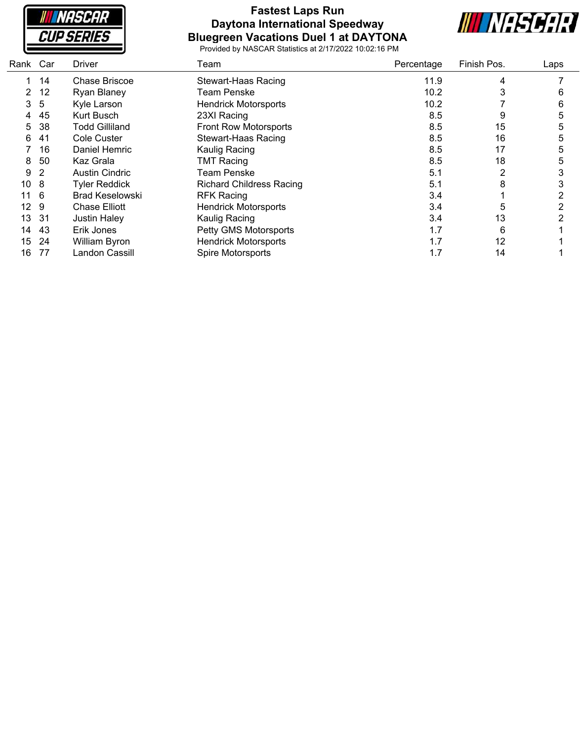**NASCAR CUP SERIES** 

# **Fastest Laps Run Daytona International Speedway Bluegreen Vacations Duel 1 at DAYTONA**



| Rank            | Car | <b>Driver</b>          | Team                            | Percentage | Finish Pos. | Laps |
|-----------------|-----|------------------------|---------------------------------|------------|-------------|------|
|                 | 14  | Chase Briscoe          | <b>Stewart-Haas Racing</b>      | 11.9       | 4           |      |
| 2               | 12  | Ryan Blaney            | <b>Team Penske</b>              | 10.2       | 3           | 6    |
| 3               | 5   | Kyle Larson            | <b>Hendrick Motorsports</b>     | 10.2       |             | 6    |
| 4               | 45  | <b>Kurt Busch</b>      | 23XI Racing                     | 8.5        | 9           | 5    |
| 5               | 38  | <b>Todd Gilliland</b>  | Front Row Motorsports           | 8.5        | 15          | 5    |
| 6               | 41  | Cole Custer            | Stewart-Haas Racing             | 8.5        | 16          | 5    |
|                 | 16  | Daniel Hemric          | Kaulig Racing                   | 8.5        | 17          |      |
| 8               | 50  | Kaz Grala              | <b>TMT Racing</b>               | 8.5        | 18          | 5    |
| 9               | 2   | <b>Austin Cindric</b>  | Team Penske                     | 5.1        | 2           |      |
| 10              | 8   | <b>Tyler Reddick</b>   | <b>Richard Childress Racing</b> | 5.1        | 8           |      |
| 11              | 6   | <b>Brad Keselowski</b> | <b>RFK Racing</b>               | 3.4        |             |      |
| 12 <sup>°</sup> | 9   | <b>Chase Elliott</b>   | <b>Hendrick Motorsports</b>     | 3.4        | 5           |      |
| 13              | -31 | <b>Justin Haley</b>    | Kaulig Racing                   | 3.4        | 13          |      |
| 14              | 43  | Erik Jones             | Petty GMS Motorsports           | 1.7        | 6           |      |
| 15              | 24  | William Byron          | <b>Hendrick Motorsports</b>     | 1.7        | 12          |      |
| 16              | 77  | Landon Cassill         | Spire Motorsports               | 1.7        | 14          |      |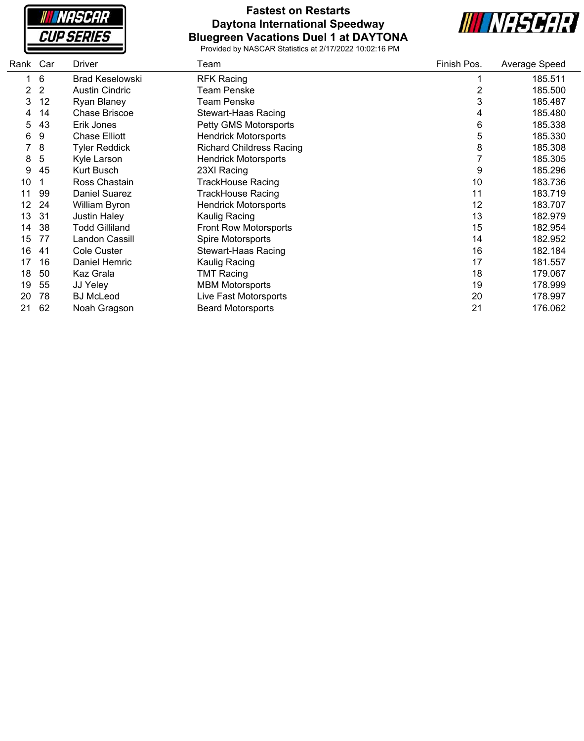

## **Fastest on Restarts Daytona International Speedway Bluegreen Vacations Duel 1 at DAYTONA**



| Rank | Car | Driver                 | Team                            | Finish Pos.    | Average Speed |
|------|-----|------------------------|---------------------------------|----------------|---------------|
|      | 6   | <b>Brad Keselowski</b> | <b>RFK Racing</b>               |                | 185.511       |
| 2    | 2   | <b>Austin Cindric</b>  | Team Penske                     | $\overline{2}$ | 185.500       |
| 3    | 12  | <b>Ryan Blaney</b>     | <b>Team Penske</b>              | 3              | 185.487       |
| 4    | 14  | <b>Chase Briscoe</b>   | <b>Stewart-Haas Racing</b>      | 4              | 185.480       |
| 5    | 43  | Erik Jones             | Petty GMS Motorsports           | 6              | 185.338       |
| 6    | 9   | <b>Chase Elliott</b>   | <b>Hendrick Motorsports</b>     | 5              | 185.330       |
|      | 8   | <b>Tyler Reddick</b>   | <b>Richard Childress Racing</b> | 8              | 185.308       |
| 8    | 5   | Kyle Larson            | <b>Hendrick Motorsports</b>     |                | 185.305       |
| 9    | 45  | Kurt Busch             | 23XI Racing                     | 9              | 185.296       |
| 10   |     | Ross Chastain          | <b>TrackHouse Racing</b>        | 10             | 183.736       |
| 11   | 99  | <b>Daniel Suarez</b>   | <b>TrackHouse Racing</b>        | 11             | 183.719       |
| 12   | 24  | William Byron          | <b>Hendrick Motorsports</b>     | 12             | 183.707       |
| 13   | 31  | <b>Justin Haley</b>    | Kaulig Racing                   | 13             | 182.979       |
| 14   | 38  | <b>Todd Gilliland</b>  | <b>Front Row Motorsports</b>    | 15             | 182.954       |
| 15   | 77  | Landon Cassill         | Spire Motorsports               | 14             | 182.952       |
| 16   | 41  | <b>Cole Custer</b>     | <b>Stewart-Haas Racing</b>      | 16             | 182.184       |
| 17   | 16  | Daniel Hemric          | Kaulig Racing                   | 17             | 181.557       |
| 18   | 50  | Kaz Grala              | TMT Racing                      | 18             | 179.067       |
| 19   | 55  | JJ Yeley               | <b>MBM Motorsports</b>          | 19             | 178.999       |
| 20   | 78  | <b>BJ</b> McLeod       | Live Fast Motorsports           | 20             | 178.997       |
| 21   | 62  | Noah Gragson           | <b>Beard Motorsports</b>        | 21             | 176.062       |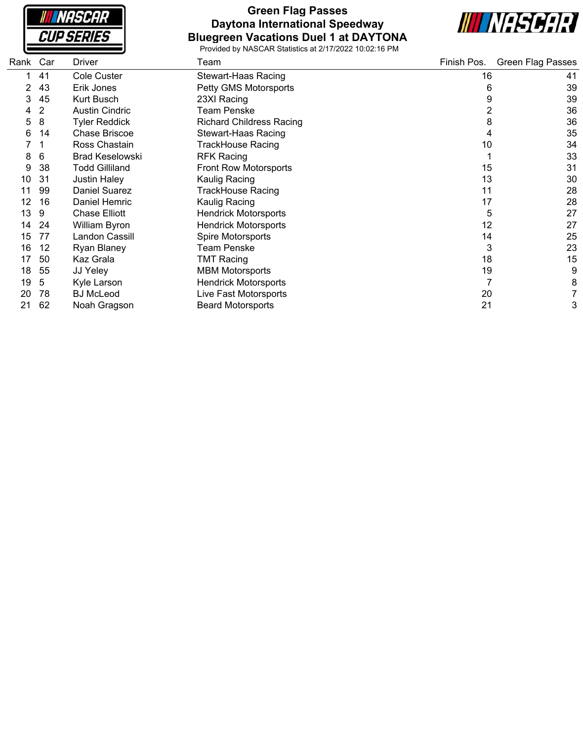| <i><b>NASCAR</b></i> |  |
|----------------------|--|
| <i>CUP SERIES</i>    |  |

#### **Green Flag Passes Daytona International Speedway Bluegreen Vacations Duel 1 at DAYTONA**



| Rank | Car | <b>Driver</b>          | Team                            | Finish Pos. | <b>Green Flag Passes</b> |
|------|-----|------------------------|---------------------------------|-------------|--------------------------|
|      | 41  | <b>Cole Custer</b>     | Stewart-Haas Racing             | 16          | 41                       |
|      | 43  | Erik Jones             | Petty GMS Motorsports           | 6           | 39                       |
| 3    | 45  | Kurt Busch             | 23XI Racing                     | 9           | 39                       |
| 4    | 2   | <b>Austin Cindric</b>  | <b>Team Penske</b>              |             | 36                       |
| 5    | 8   | <b>Tyler Reddick</b>   | <b>Richard Childress Racing</b> | 8           | 36                       |
| 6    | 14  | Chase Briscoe          | <b>Stewart-Haas Racing</b>      | 4           | 35                       |
|      |     | Ross Chastain          | <b>TrackHouse Racing</b>        | 10          | 34                       |
| 8    | 6   | <b>Brad Keselowski</b> | <b>RFK Racing</b>               |             | 33                       |
| 9    | 38  | <b>Todd Gilliland</b>  | Front Row Motorsports           | 15          | 31                       |
| 10   | 31  | <b>Justin Haley</b>    | Kaulig Racing                   | 13          | 30                       |
|      | 99  | <b>Daniel Suarez</b>   | <b>TrackHouse Racing</b>        | 11          | 28                       |
| 12   | 16  | Daniel Hemric          | Kaulig Racing                   | 17          | 28                       |
| 13   | 9   | Chase Elliott          | <b>Hendrick Motorsports</b>     | 5           | 27                       |
| 14   | -24 | William Byron          | <b>Hendrick Motorsports</b>     | 12          | 27                       |
| 15   | 77  | Landon Cassill         | Spire Motorsports               | 14          | 25                       |
| 16   | 12  | <b>Ryan Blaney</b>     | <b>Team Penske</b>              | 3           | 23                       |
| 17   | 50  | Kaz Grala              | <b>TMT Racing</b>               | 18          | 15                       |
| 18   | 55  | JJ Yeley               | <b>MBM Motorsports</b>          | 19          | 9                        |
| 19   | 5   | Kyle Larson            | <b>Hendrick Motorsports</b>     |             | 8                        |
| 20   | 78  | <b>BJ</b> McLeod       | Live Fast Motorsports           | 20          |                          |
| 21   | 62  | Noah Gragson           | <b>Beard Motorsports</b>        | 21          | 3                        |
|      |     |                        |                                 |             |                          |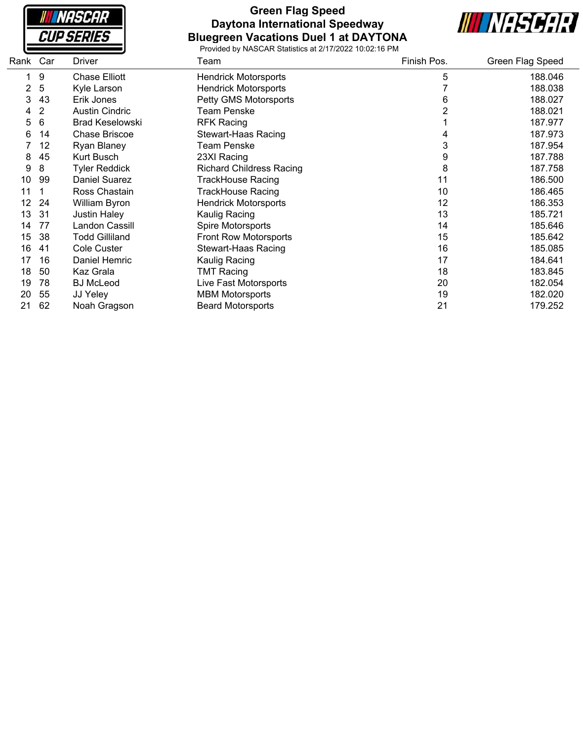**NASCAR CUP SERIES** 

#### **Green Flag Speed Daytona International Speedway Bluegreen Vacations Duel 1 at DAYTONA**



| Rank Car |                | <b>Driver</b>          | Team                            | Finish Pos. | Green Flag Speed |
|----------|----------------|------------------------|---------------------------------|-------------|------------------|
| 1        | 9              | <b>Chase Elliott</b>   | <b>Hendrick Motorsports</b>     | 5           | 188.046          |
| 2        | 5              | Kyle Larson            | <b>Hendrick Motorsports</b>     |             | 188.038          |
| 3        | 43             | Erik Jones             | Petty GMS Motorsports           | 6           | 188.027          |
| 4        | $\overline{2}$ | <b>Austin Cindric</b>  | <b>Team Penske</b>              |             | 188.021          |
| 5        | 6              | <b>Brad Keselowski</b> | <b>RFK Racing</b>               |             | 187.977          |
| 6        | 14             | <b>Chase Briscoe</b>   | <b>Stewart-Haas Racing</b>      |             | 187.973          |
|          | 12             | Ryan Blaney            | <b>Team Penske</b>              | 3           | 187.954          |
| 8        | 45             | Kurt Busch             | 23XI Racing                     | 9           | 187.788          |
| 9        | 8              | <b>Tyler Reddick</b>   | <b>Richard Childress Racing</b> | 8           | 187.758          |
| 10       | 99             | Daniel Suarez          | TrackHouse Racing               | 11          | 186.500          |
| 11       |                | Ross Chastain          | <b>TrackHouse Racing</b>        | 10          | 186.465          |
| 12       | 24             | William Byron          | <b>Hendrick Motorsports</b>     | 12          | 186.353          |
| 13       | 31             | <b>Justin Haley</b>    | Kaulig Racing                   | 13          | 185.721          |
| 14       | 77             | Landon Cassill         | Spire Motorsports               | 14          | 185.646          |
| 15       | 38             | <b>Todd Gilliland</b>  | Front Row Motorsports           | 15          | 185.642          |
| 16       | 41             | <b>Cole Custer</b>     | <b>Stewart-Haas Racing</b>      | 16          | 185.085          |
| 17       | 16             | Daniel Hemric          | Kaulig Racing                   | 17          | 184.641          |
| 18       | 50             | Kaz Grala              | <b>TMT Racing</b>               | 18          | 183.845          |
| 19       | 78             | <b>BJ McLeod</b>       | Live Fast Motorsports           | 20          | 182.054          |
| 20       | 55             | JJ Yeley               | <b>MBM Motorsports</b>          | 19          | 182.020          |
| 21       | 62             | Noah Gragson           | <b>Beard Motorsports</b>        | 21          | 179.252          |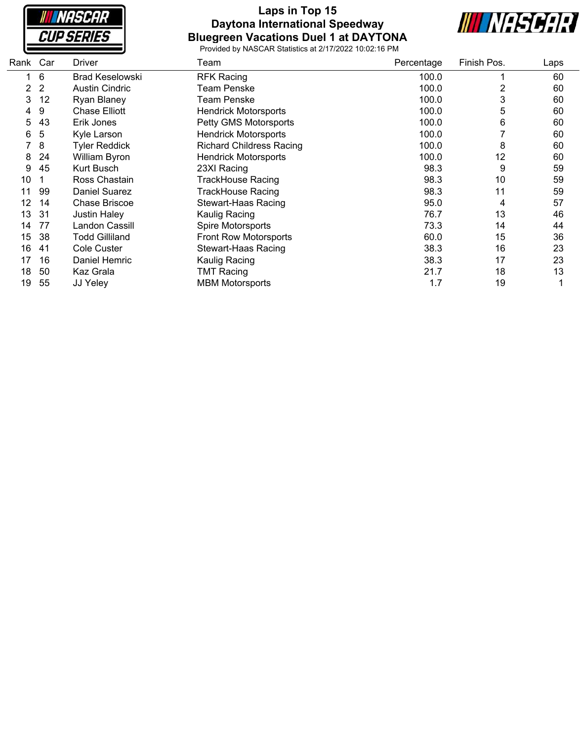

## **Laps in Top 15 Daytona International Speedway Bluegreen Vacations Duel 1 at DAYTONA**



| Rank | Car | <b>Driver</b>          | Team                            | Percentage | Finish Pos. | Laps |
|------|-----|------------------------|---------------------------------|------------|-------------|------|
|      | 6   | <b>Brad Keselowski</b> | <b>RFK Racing</b>               | 100.0      |             | 60   |
| 2    | 2   | <b>Austin Cindric</b>  | <b>Team Penske</b>              | 100.0      | 2           | 60   |
| 3    | 12  | <b>Ryan Blaney</b>     | Team Penske                     | 100.0      | 3           | 60   |
| 4    | 9   | <b>Chase Elliott</b>   | <b>Hendrick Motorsports</b>     | 100.0      | 5           | 60   |
| 5    | 43  | Erik Jones             | Petty GMS Motorsports           | 100.0      | 6           | 60   |
| 6    | 5   | Kyle Larson            | <b>Hendrick Motorsports</b>     | 100.0      |             | 60   |
|      | 8   | <b>Tyler Reddick</b>   | <b>Richard Childress Racing</b> | 100.0      | 8           | 60   |
| 8    | 24  | <b>William Byron</b>   | <b>Hendrick Motorsports</b>     | 100.0      | 12          | 60   |
| 9    | 45  | Kurt Busch             | 23XI Racing                     | 98.3       | 9           | 59   |
| 10   |     | Ross Chastain          | TrackHouse Racing               | 98.3       | 10          | 59   |
| 11   | 99  | <b>Daniel Suarez</b>   | TrackHouse Racing               | 98.3       | 11          | 59   |
| 12   | 14  | Chase Briscoe          | Stewart-Haas Racing             | 95.0       | 4           | 57   |
| 13   | 31  | <b>Justin Haley</b>    | Kaulig Racing                   | 76.7       | 13          | 46   |
| 14   | 77  | Landon Cassill         | Spire Motorsports               | 73.3       | 14          | 44   |
| 15   | 38  | Todd Gilliland         | <b>Front Row Motorsports</b>    | 60.0       | 15          | 36   |
| 16   | 41  | <b>Cole Custer</b>     | Stewart-Haas Racing             | 38.3       | 16          | 23   |
| 17   | 16  | Daniel Hemric          | Kaulig Racing                   | 38.3       | 17          | 23   |
| 18   | 50  | Kaz Grala              | <b>TMT Racing</b>               | 21.7       | 18          | 13   |
| 19   | 55  | JJ Yeley               | <b>MBM Motorsports</b>          | 1.7        | 19          |      |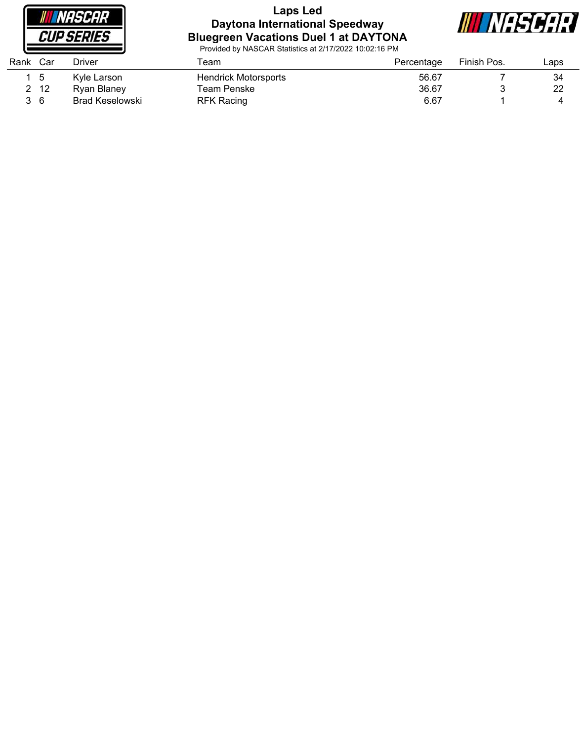

#### **Laps Led Daytona International Speedway Bluegreen Vacations Duel 1 at DAYTONA**



| Rank Car |              | Driver          | Геаm                        | Percentage | Finish Pos. | ∟aps |
|----------|--------------|-----------------|-----------------------------|------------|-------------|------|
|          | _ 5          | Kyle Larson     | <b>Hendrick Motorsports</b> | 56.67      |             | 34   |
|          | $2 \quad 12$ | Ryan Blaney     | Team Penske                 | 36.67      |             | 22   |
|          | 36           | Brad Keselowski | RFK Racing                  | 6.67       |             |      |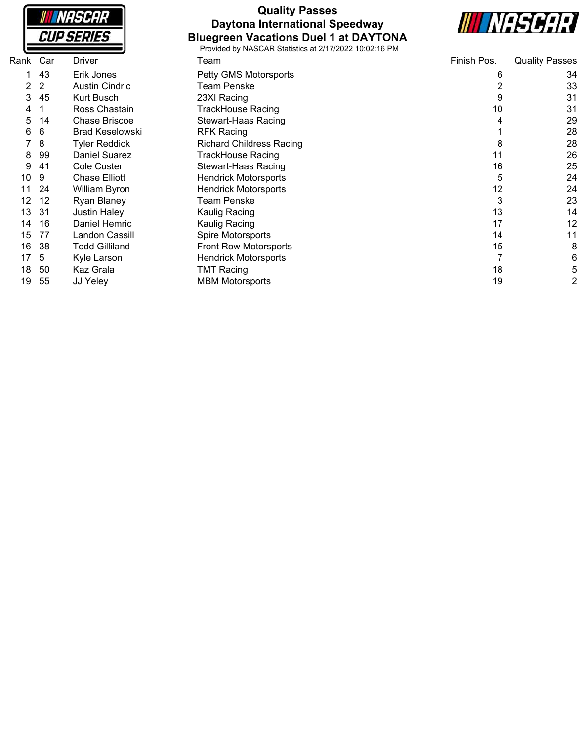| <i><b>NASCAR</b></i>     |  |
|--------------------------|--|
| <i><b>CUP SERIES</b></i> |  |

# **Quality Passes Daytona International Speedway Bluegreen Vacations Duel 1 at DAYTONA**



| Rank | Car | Driver                 | Team                            | Finish Pos. | <b>Quality Passes</b> |
|------|-----|------------------------|---------------------------------|-------------|-----------------------|
|      | 43  | Erik Jones             | Petty GMS Motorsports           | 6           | 34                    |
| 2    | 2   | <b>Austin Cindric</b>  | Team Penske                     | 2           | 33                    |
| 3    | 45  | <b>Kurt Busch</b>      | 23XI Racing                     | 9           | 31                    |
| 4    |     | Ross Chastain          | TrackHouse Racing               | 10          | 31                    |
| 5    | 14  | <b>Chase Briscoe</b>   | <b>Stewart-Haas Racing</b>      | 4           | 29                    |
| 6    | 6   | <b>Brad Keselowski</b> | <b>RFK Racing</b>               |             | 28                    |
|      | 8   | Tyler Reddick          | <b>Richard Childress Racing</b> | 8           | 28                    |
| 8    | 99  | <b>Daniel Suarez</b>   | <b>TrackHouse Racing</b>        | 11          | 26                    |
| 9    | -41 | Cole Custer            | <b>Stewart-Haas Racing</b>      | 16          | 25                    |
| 10   | 9   | <b>Chase Elliott</b>   | <b>Hendrick Motorsports</b>     | 5           | 24                    |
|      | 24  | William Byron          | <b>Hendrick Motorsports</b>     | 12          | 24                    |
| 12   | 12  | <b>Ryan Blaney</b>     | Team Penske                     | 3           | 23                    |
| 13   | 31  | <b>Justin Haley</b>    | Kaulig Racing                   | 13          | 14                    |
| 14   | 16  | Daniel Hemric          | Kaulig Racing                   | 17          | 12                    |
| 15   | 77  | Landon Cassill         | Spire Motorsports               | 14          | 11                    |
| 16   | 38  | <b>Todd Gilliland</b>  | <b>Front Row Motorsports</b>    | 15          | 8                     |
| 17   | 5   | Kyle Larson            | <b>Hendrick Motorsports</b>     |             | 6                     |
| 18   | 50  | Kaz Grala              | <b>TMT Racing</b>               | 18          | 5                     |
| 19   | 55  | JJ Yeley               | <b>MBM Motorsports</b>          | 19          | 2                     |
|      |     |                        |                                 |             |                       |